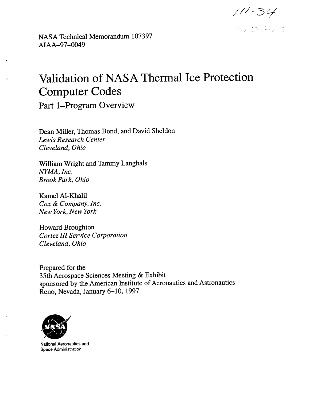*//v'-* 3\_  $7/0.5/5$ 

NASA Technical Memorandum 107397 AIAA-97-0049

# Validation of NASA Thermal Ice Protection Computer Codes

Part 1-Program Overview

Dean Miller, Thomas Bond, and David Sheldon *Lewis Research Center Cleveland, Ohio*

William Wright and Tammy Langhals *NYMA, Inc. Brook Park, Ohio*

Kamel A1-Khalil *Cox & Company, Inc. New York, New York*

Howard *Broughton Cortez III Service Corporation Cleveland, Ohio*

Prepared for the 35th Aerospace Sciences Meeting & Exhibit sponsored by the American Institute of Aeronautics and Astronautics Reno, Nevada, January 6-10, 1997



**National Aeronautics and** Space **Administration**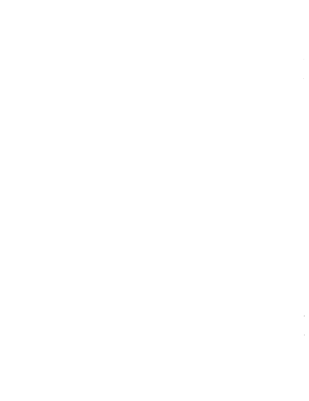$\mathcal{A}^{(1)}$  $\mathcal{A}_{\mathcal{A}}$  $\frac{1}{2}$  $\mathcal{L}_{\mathcal{A}}$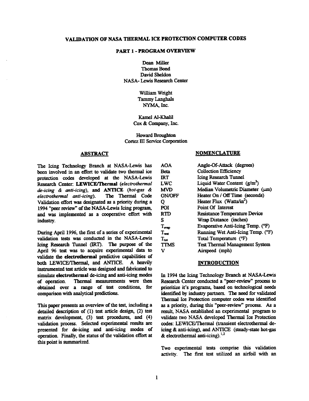# **VALIDATION OF NASA THERMAL ICE PROTECTION COMPUTER CODES**

#### **PART** 1 **- PROGRAM OVERVIEW**

**Dean Miller Thomas Bond David Sheldon** NASA- **Lewis Research** Center

> **Wiltiam Wright Tammy Langhals NYMA, Inc.**

# **Kamel Al-Khalil** Cox **&** Company, **Inc.**

**Howard Broughton** Cortez **HI Service** Corporation

**The** Icing **Technology Branch at NASA-Lewis has been involved in an** effort **to vafidate two thermal ice protection codes developed at the NASA-Lewis Research Center. LEWICE/Thermal** (electrothermal *de-icing & anti-icing),* **and ANTICE (hot-gas** *& electrothermal anti-icing).* The Thermal **Validation** effort **was designated as a priority during a 1994 "peer review" of the NASA-Lewis Icing program, and was implemented as a cooperative effort with** industry.

**During April 1996,** the **first of a series of experimental validation tests was conducted in the NASA-Lewis** Icing **Research Tunnel** 0RT). The **purpose of the April 96 test was to acquire** experimental **data to validate the dectrothermai predictive capabilities of both LEWICE/Thermal, and** ANTICE. **A heavily instrumented test article was designed** and **fabricated to simulate dectrothermal de-icing** and **anti-icing modes** of **opcratio\_ Thermal measurements were then obtained over a range of test** conditions, **for** comparison with **analytical predictions.**

**This paper presents an overview of the test,** including **a** detailed **description of (1)** test article **design, (2) test matrix development, (3) test procedures, and (4)** validation **process. Selected experimental results are presented for de-icing** and anti-icing **modes of operation. Finally,** the **status** of the **validation** effort **at this** point **is summarized.**

# **ABSTRACT MOMENCLATURE**

| <b>AOA</b>        | Angle-Of-Attack (degrees)             |
|-------------------|---------------------------------------|
| <b>Beta</b>       | <b>Collection Efficiency</b>          |
| <b>IRT</b>        | <b>Icing Research Tunnel</b>          |
| LWC               | Liquid Water Content $(g/m^3)$        |
| <b>MVD</b>        | Median Volumetric Diameter (um)       |
| <b>ON/OFF</b>     | Heater On / Off Time (seconds)        |
| Q                 | Heater Flux (Watts/in <sup>2</sup> )  |
| POI               | <b>Point Of Interest</b>              |
| <b>RTD</b>        | <b>Resistance Temperature Device</b>  |
| s                 | Wrap Distance (inches)                |
| $T_{\text{evap}}$ | Evaporative Anti-Icing Temp. (°F)     |
| $T_{\rm{wd}}$     | Running Wet Anti-Icing Temp. (°F)     |
| $T_{tot}$         | Total Temperature (°F)                |
| <b>TTMS</b>       | <b>Test Thermal Management System</b> |
| v                 | Airspeed (mph)                        |

#### **INTRODUCTION**

**In** 1994 **the Icing Technology Branch at NASA-Lewis Research Center conducted a** "l\_eer-review" **process to prioritize it's programs, based on technological needs identified by** industry **partners.** The **need for validated Thermal Ice Protec\_on** computer **codes was identified as a priority, during this** "peer-review" **process. As a result, NASA established** an **experimental program to validate two NASA developed Thermal Ice Protection codes: LEWICFJThermal (transient electrothermal deicing** & anti-icing), **and ANTICE (steady-state hot-gas**  $&$  **electrothermal** anti-icing).<sup>1,2</sup>

Two **experimental tests** comprise **this validation activity. The first test utilized** an **airfoil** with an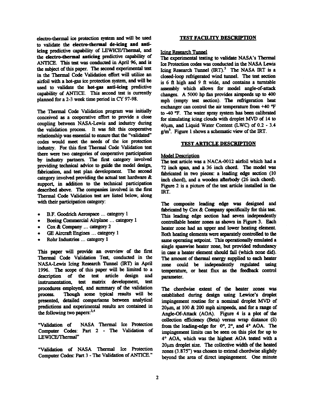**eleetm-tlwrmal ice protection system and will be used** to validate the electro-thermal de-icing and anti**icing** predictive capability of LEWICE/Thermal, and **the electro-thermal anticing predictive capability of ANTICE. This** test **was conductod in April 96, and is the subject** of **this paper. The second experimental test in the Thermal Code Validation** effort **will utilize an airfoil with a hot-gas ice protection system, and will** be **used to validate the hot-gas anti-icing predictive capability of ANTICE. This second test is currently planned for a 2-3 week time period in** CY **97-98.**

**The Thermal** Code **Validation program was initially conceived as a cooperative effort** to **provide a close coupling between** NASA-Lewis **and industry during the validation process. It was felt this cooperative relationship was** essential **to ensure that the "validated" codes would meet the needs of** the **ice protection indumy. For this first Thermal** Code **Validation test there were two categories of cooperative participation by indmUy partners. The first category involved providing** technical **advice** to **guide the model design, fabrication, and test plan developmem\_ The second ca\_goryinvolved providing the actual test hardware** & **support, in addition to the technical participation described above. The** companies **involved** in **the first Thermal Code Validation test are listed below,** along **with their participation category:**

- **• B.F. Goodrich Aerospace** ... **category 1**
- **Boeing Commercial Airplane ... category** 1
- **•** Cox **&** Company... category **2**
- **GE Aircraft Engines** ... **category 1**
- **Rohr Industries ... category I**

**This paper will provide an overview of the first Thermal** Code **Validation Test,** conducted in the NASA-Lewis **Icing Research Tunnel (IRT) in April 1996. The scope of this paper will** be **limited** to **a description of the test article design and instrumentation, test matrix development, test procedures employed, and summary** of **the validation process.** Though **some** typical **results will** be **presented, detailed** comparisons **between analytical predictions and experimental results are** contained **in** the following two papers:<sup>3,4</sup>

**"Validation of** NASA **Thermal Ice Protection** Computer **Codes: Part 2 The Validation of** LEWICE/Thermal"

**"Validation of NASA Thermal Ice Protection** Computer **Codes: Part** 3 **- The Validation of ANTICE."**

#### **TEST FACILITY DESCRIFrlON**

#### **Icing Research Tunnel**

**The** experimental **testing to validate NASA's Thermal Ice Protection codes was** conducted **in the NASA Lewis Icing Research Tunnel (IRT). s The NASA IRT is a closed-loop rcfrigeratod wind tunnel. The test section is** 6 **fl high and 9 fl wide, and** contains **a turntable assembly which allows** for **model angle-of-attack changes. A** 5000 **hp fan provides airspeods up to** 400 **mph (empty test section). The refrigeration heat exchanger can** control **the air temperature from +40 °F to-40 W. The water spray system has been cah\_orated for simulating icing clouds with droplet MVD** of **14 to 40pro, and Liquid Water** Content **(LWC) of 0.2 - 3.4**  $g/m<sup>3</sup>$ . Figure 1 shows a schematic view of the IRT.

#### TEST **ARTICLE DESCRIPTION**

#### **Model Description**

**The test article was a** NACA-0012 **airfoil which had a 72 inch span, and a** 36 **inch chord. The model was fabricated in** two **pieces: a leading** edge **section (10 inch chord),**and **a wooden aflcrbody (26 inch chord). Figure 2 is a picture** of the **test article installed** in **the IRT.**

**The composite leading** edge **was designed and fabricated by** Cox & Company **specifically for this test. This leading** edge **section had seven independently** controllable **heater zones as shown** in **Figure** 3. **Each zone had an upper and lower heating element Both heating elements were separately controlled** to **the same operating setpoint. This operationally** emulated **a single** spanwise heater zone, but provided redundancy **in case a heater** element **shouldfail (which none did).** The amount of thermal energy supplied to each heater **zone** could be **independently regulated using** temperature, **or heat flux** as the **feedback** contxol parameter.

**The chordwise** extent **of the heater zones was establishod during design using Lcwicc's droplet impingement routine for a nominal droplet MVD of 20pro, at 100** & **200 mph airspeeds, and for a range of Angle-Of-Attack (AOA). Figure** 4 **is a plot** of **the** collection efficiency **(Beta) versus wrap distance (S) from** the **leading-odge for** 0**°, 2 °, and 4 ° AOA. The impingement limits can** be **seen on this plot for up to 4° AOA, which was the highest AOA tested with a**  $20\mu$ m droplet size. The collective width of the heated **zones (3.875") was chosen** *to* **extend** chordwise **slightly beyond** the area of direct impingement. One minute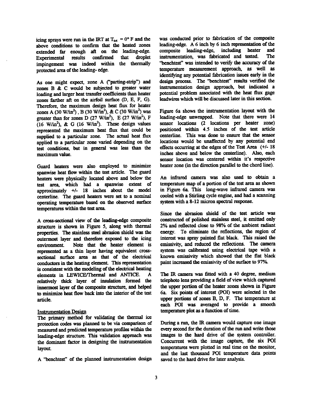icing sprays were run in the IRT at  $T_{tot}=0$ ° **F** and the **above conditions to** confirm **that** the **heated zones** extended **far** enough **aft on the leading-edge. Experimental results** confirmed that **droplet impingement was** indeed **within** the **thermally protected area of** the **leading-** edge.

**As one might expect,** zone **A** Cparting-strip') **and** zones **B & C would be subjected to greater water loading and larger heat transfer coefficients than heater** zones **farther aR on** the **airfoil surface (D, E, F, G). Therefore, the maximmn design heat flux for heater** zones **A (30 W/in2), B** (30 **W/in2), &** C **(30 W/in2) was greater than for** zones **D** (27 **W/in<sup>2</sup>)**, **E** (27 **W/in<sup>2</sup>)**, **F**  $(16 \text{ W/in}^2)$ , & G  $(16 \text{ W/in}^2)$ . These design values **represented the maximum heat flux that** could be supplied to a **particular** zone. **The actual heat flux applied** to **a particular zone varied depending on** the **test** conditions, **but** in general **was** less **than the** *maximum* **value.**

**Guard heaters were** also **employed to minimize** spanwise **heat flow** within the test **article. The guard heaters were physically located** above and below the **test area, which** had **a spanwise extent of approximately +/- 18** inches about the **model centerline. The guard heaters were** set to **a nominal operating tempemaae based on** the **observed surface temperatures** within the test area.

A cross-sectional view of the leading-edge composite **gructme is shown in Figure** 5, along with **thermal properties. The stainless steel abrasion shield was** the outermost **layer** and **therefore** exposed to **the icing** environment. Note **that the heater** element **is represented as a thin layer having** equivalent **cross**sectional surface area as **that** of **the** electrical conductors in **the healing** elemcnL **This representation is** consistent with **the modeling** of the electrical heating **elements** in **LEWICEgghermal and ANTICE. A** relatively **thick** layer **of insulation formed the innermost layer** of **the** composite **structure, and helped to minimize** heat flow back into the interior of the test **article.**

# **Instrumentation Design**

The **primm7 method for validating the** thermal **ice protection codes was planned** to be **via comparison of measured** and **predicted** temperature **profiles** within the **leading-edge** structnre. **This validation approach was the dominant factor in designing** the **instrumentation** layouL

**A** "benchtest" **of** the **planned instrumentation design**

**was** conducted **prior** to **fabrication of the** composite **leading-edge. A** 6 **inch by** 6 inch **representation of the** composite **leading-edge,** including **heater** and **instrumentation, was fabricated and tested. The "benchtest" was** intended to **verify** the **accuracy** of **the temperature measurement approach, as well** as **identifying any potential fabrication issues** early in **the design process.** The **"benchtest" results verified the instrumentation design approach, but** indicated **a** potential **problem associated** with the **heat flux gage leadwires which will** be discussed **later** in this **section.**

**Figure 6a shows** the **instrumentation layout** with **the leading-edge unwrapped. Note that** there were 14 sensor **locations (2 locations per heater zone) positioned** within **4.5** inches **of** the **test article** centerline. **This was done to ensure that** the sensor **locations would** be **unaffected by** any potential **end** effects **occurring at the** edges **of** the **Test Area (+/- 18 inches above** and below the **centerline). Also,** each **sensor location was centered** within **it's respective heater** zone **(in** the **direction parallel** to the **chord line).**

**An infrared camera was** also **used** to **obtain a** temperature **map of a** portion **of the test area** as **shown** in **Figure 6& This long-wave infrared camera was cooled** with **a Stirring cycle** engine, and **had a scanning system** with **a 8-12** micron **spectral response.**

**Since** the abrasion shield **of** the **test** article **was** constructed **of** polished stainless steel, **it** emitted **only 2%** and **reflected close** to **98% of** the ambient **radiant** energy. **To eliminate** the **reflections,** the region of interest **was** spray **painted flat black. This raised** the **emissivity, and reduced** the **reflections. The camera system was calibrated using** electrical **tape** with **a known** emissivity **which showed that** the **flat black paint** increased **the** emissivity **of the surface** to **97%.**

**The IR camera was fitted** with **a** 40 **degree, medium** telephoto **lens providing a field of** view **which captured the upper** portion **of the heater** zones **shown in Figure** 6a. **Six** points of interest **(POI) were** selected in **the upper** portions **of** zones **B, D, F. The** temperature **at each POI was** averaged to **provide a smooth** temperature **plot** as **a function of time.**

**During a run, the IR camera would capture one image** eveay **second for the duration of** the **run** and **write** those **images to** the **hard drive of the system** controller. Concurrent with **the image capture,** the **six POI** temperatures **were plotted** in **real time on the monitor,** and the **last** thousand **POI** temperature **data points saved to** the **hard drive for later analysis.**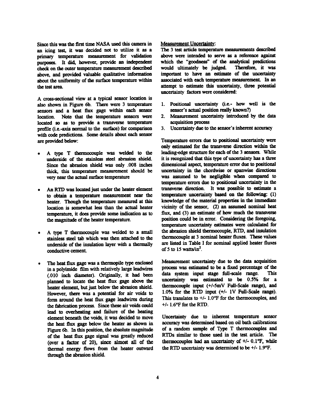Since this was the first time NASA used this camera in anicingtest,it wasdecidednot to **utilize it as a primary temperature measurement for validation purposes. It did, however, provide an independent check on the outer temperature measurement described above, and provided valuable qualitative information about the uniformity of the surface temperature within the test are&**

**A crees-sectional view at a typical sensor location is also shown in Figure** 6b. **There were** 3 **temperatnre sensors and a heat flux gage** within each **sensor location. Note that the temperatnre sensors were located so as to provide a transverse** temperature **profile (i.e.-axis normal to the surface) for co\_n** with **code predictions. Some** details **about** each **sensor arc provided below:**

- **A type T thermocouple was welded to the underside of the stainless steel abrasion shield. Since the abrasion shield was only .008 inches thick, this temperature measurement should be very near the actual surface temperanne**
- **An RTD was located just under the heater** dement **to obtain a** temperatme **measurement near the heater. Though the temperature measured at this location is somewhat less than the actual heater temperature, it does provide some indication as to the magnitude of the heater** temperature.
- **A type T thermocouple was welded to a small**  $\bullet$ **stainless steel tab which was then attached to** the **underside of the insulation layer with a** thermally **conductive cement.**
- The heat flux gage was a thermopile type enclosed in **a polyimide film** with **relatively** large **leadwires** (.010 **inch** diameter). Originany, it **had been planned to locate the heat flux gage above the heater clement, but** just **below the abrasion shield. However, there was a potential for air voids to form around the heat flux gage leadwires during** the **fabrication process. Since** these **air** voids **could lead** to **overheating and failure** of **the heating element beneath the voids, it was decided to move the heat flux gage bclow the heater as shown in Figure** 6b. **In this position, the absolute magnitude of the heat flux gage signal was greatly reduced (over a factor of 20), since almost all of the** thermal **energy flows from the heater outward through the** abrasion **shield.**

# **Measurement Uncertainty:**

**The** 3 **test article** temperature **measurements described above were intended to serve as a reference against which the** "goodness" of **the analytical predictions would ultimately** be **judged. Therefore, it was important to have an estimate of the mxmminty associated** with **each** temperature **measurmncnt, lnan** attempt to estimate this uncertainty, three potential  $uncertainty$  factors were considered:

- **1. Positional uncertainty (i.e.- how well is the sensor's actual position really known?)**
- 2. Measurement uncertainty introduced by the data **acquisition process**
- 3. **Uncertainty due to the sensor's inherent accuracy**

**Temperature** errors **due to positional uncertainty were only** estimated **for the** *Wdnsverse* **direction** within **the leading-edge smtcture for** each **ofthe** 3 **sensors. While itis recognized that this type** of **uncertainty has a three dimensional aspect, temperature** error **due** to **positional uncertainty in the chordwise or spanwise directions was assmned** to be **negligl\_ole when compared to** temperature errors **due to positional uncertainty in the uansverse direction. It was pos\_'ble** to **estimate a uncertainty based on the following: (1) knowledge** of **the material** \_ in **the immediate vicinity** of **the sensor, (2)** an **assumed nominal heat** flux, and (3) an estimate of how much the transverse **position could** be in **error.** Considering **the foregoing, temperature uncertainty estimates were calculated for** the abrasion **shield thermocouple, RTD, and insulation thermocouple at** 3 **nominal heater fluxes. These values are listed** in **Table** I **for nominal applied heater fluxes** of 5 to  $15$  watts/in<sup>2</sup>.

**Measurement uncertainty due to the dam acquisition process was** estimated **to** be **a fixed** percentage of **the data system input stage full-scale range. This uncertainty was estimated to** be **0.5% for a thermocouple input (+/-5mV Full-Scale range), and 1.0% for the RTD input (+/- IV Full-Scale range). This translates** to **+/-** 1.0°F **for the thermocouples, and +/-** 1.6°F **for the RTD.**

**Uncertainty due to inherent** temperature **sensor accuracy was determined based on oil bath cah\_orations** of **a random sample** of **Type T thermocouples and RTDs similar** to those **used** in the **test article. The thcrmocouples had an uncertainty** of **+/- 0.1°F, while the RTD** uncertainty **was determined** to be **+/- 1.9°F.**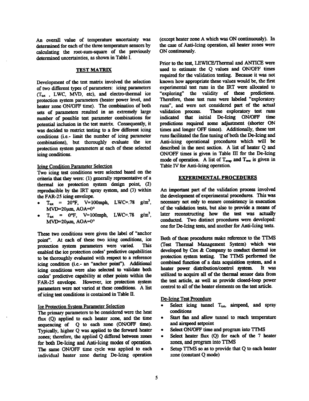An overall value of temperature uncertainty was determined for each of the three temperature sensors by **calculating the root-sum-square of the previously determined uncertainties, as shown in Table I.**

#### **TEST MATRIX**

**Development** of **the test matrix** involved **the selection** of two **different types** of **parameters:** icing **parameters (T\_** , **LWC,** MVD, **etc), and electro-thermal** ice **protection system parameters (heater power** level, **and heater zone** ON/OFF time). **The combination of both sets of parameters resulted in an extremely large number of possible test parameter combinations** for **potential inclusion in the test** *matrix.* Consequently, it **was decided to restrict testing to a few different icing conditions (i.e.- limit the number of** icing **parameter combinations), but thoroughly** evaluate **the ice protection system parameters at each of these selected icing conditions.**

# **Icing** Condition **Parameter Selection**

**Two icing test conditions were selected based on the criteria that they were: (1) generally representative of a thermal ice protection system design point, (2) reproducible by the IRT spray system, and (3) within the FAR-25 icing** envelope.

- $T_{\text{tot}}$  = 20°F, V=100mph, LWC=.78  $g/m^3$ , **MVD=20μm, AOA=0°**
- $T_{\text{tot}} = 0^{\circ}F$ ,  $V=100 \text{ mph}$ ,  $LWC=.78$   $g/m^3$ , **MVD=20um, AOA=0°**

**These two conditions were given the label of "anchor point". At** each **of these two** icing **conditions, ice protection** system **parameters were varied. This enabled the ice protection codes' predictive capabilities to be thoroughly** evaluated **with respect to** a **reference icing condition (i.e.- an "anchor point"). Additional icing** *condilions* **were also selected to validate both codes' predictive capability at other points within the FAR-25** envelope. **However, ice protection system parameters were not varied at** these **conditions. A list of icing test conditions is contained in Table H.**

# **Ice Protection System Parameter Selection**

**The primary parameters to be considered were the heat flux (Q) applied to** each **heater zone, and the time sequencing of Q to** each zone **(ON/OFF time). Typically, higher Q was applied to the forward heater zones; therefore, the applied** Q **differed between zones for** both **De-Icing and Anti-Icing modes of** operation. **The same** ON/OFF time **cycle was applied** to **each individual heater zone during De-Icing operation** **(except heater zone A which was ON continuously). In** the **case of Anti-Icing** operation, **all heater zones were ON continuously.**

**Prior to the test, LEWICE/Thermal and ANTICE were used to** estimate **the Q values and ON/OFF times required for the vafidation testing. Because it was not known how appropriate these values would be, the first experimental** test **runs in the** IRT **were allocated** to **"exploring" the validity** of **these predictions. Therefore, these test runs were labeled "exploratory runs", and were not considered part** of **the actual vafidation process. These exploratory test runs indicated that initial De-Icing** ON/OFF **time predictions required some adjustment (shorter** ON **times and longer** OFF **times). Addilionally, these test rims facih'tated the fine tuning** ofboth**the**De-Icing**and Anti-Icing operational procedures which will be described in the next** section. A **list of heater Q and** ON/OFF **times is given in** Table **rll for the De-Icing** mode of operation. A list of  $T_{\text{evap}}$  and  $T_{\text{waf}}$  is given in Table **IV for Anti-Icing operation.**

#### **EXPERIMENTAL PROCEDURES**

**An important part of the validation process involved the development of experimental procedures. This was necessary not only to ensure consistency in** execution of **the validation tests, but also to provide a means of later reconstructing how the test was actually conducted. Two distinct procedures were** developed: one **for De-Icing tests, and another for Anti-Icing tests.**

**Both of these procedures make reference to the** *TrMs* **(Test Thermal Management System) which was developed by Cox &** Company **to conduct thermal ice protection** system **testing. The** *TTMS* **performed the combined function** of **a data acquisition system, and a heater power distribution/control system. It was utilized** to acquire all **of the thermal sensor data f\_m the test** article, as well as **provide closed-loop** power **control to all of the** heater elements **on the** test **article.**

#### **De-Icing Test Procedure**

- **• Select icing tunnel T\_, airspeed, and spray conditions**
- **• Start fan and allow tunnel to reach temperature and airspeed setpoint**
- **• Select** ON/OFF **lime and program into** *TFMS*
- **• Select heater flux (Q) for each** of **the 7 heater zones, and program into TrMS**
- **• Setup TFMS so as to provide that Q to** each **heater** zone **(constant** Q **mode)**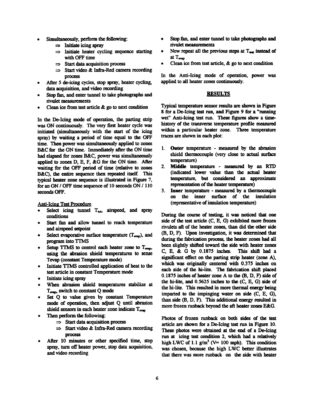- **• Simultaneously, perform the following:**
	- $\Rightarrow$  **Initiate icing spray**
	- **Initiate heater cycling sequence starting with OFF time**
	- **Start data acquisition process**
	- **Start video & Infra-Red camera recording process**
- **After** 5 **de-icing** cycles, **stop** spray, **heater cycling, data acquisition, and** video **recording**
- **• Stop fan, and** enter **tunnel to take photographs and rivulet measurements**
- **Clean ice from test article & go to next condition**

In the De-Icing mode of operation, the parting strip **was ON continuously. The vew first heater** cycle **was initiated (simultaneously** with **the start of the icing** spray) **by waiting a** period **of lime** equal to **the OFF time. Then power was simultaneously applied to zones B&C for the ON time. Immediately after the ON** time **had** elapsed **for zones B&C, power was simultaneously applied** to zones **D, E, F, &G for the ON time. After waiting for the OFF period of time (relative to** zones **B&C), the** entire **sequence then repeated itself. This typical heater** zone **sequence is illustrated in Figure 7, for an ON** */* **OFF time sequence of** 10 **seconds ON** */* 110 **seconds OFF.**

**Anti-Icin\_ Test Procedure**

- **Select icing tunnel T\_=, airspeed, and** spray **conditions**
- **Start fan and allow tunnel** to **reach temperature and airspeed setpoint**
- Select evaporative surface temperature (T<sub>ovap</sub>), and **program into** TI'MS
- **Setup TrMS** to **control each heater zone to T\_p, using the abrasion shield temperatures to sense Tevap (constant Temperalme mode)**
- Initiate **TrMS** controlled **application of heat to the test article in** constant **Temperature mode**
- **Initiate icing** spray
- **When** abrasion **shield tem\_ramres stabilize at T\_p, switch to** constant **Q mode**
- **• Set Q** *to* **value given by** constant **Temperature mode of operation,** then **adjust** Q **until** abrasion **shield sensors in** each **heater zone** indicate **T\_p**
- **Then perform the following"**
	- **=\_ Start dam acquisition process**
	- **Start** video **& Infra-Red camera recording process**
- **After 10 minutes or other specified** time, **stop** spray, **turn off heater power, stop data acquisition,** and video **recording**
- **Stop fan, and** enter **Umnel to** take **photographs and rivulet measurements**
- Now repeat all the previous steps at  $T_{\text{wst}}$  instead of at T<sub>evep</sub>
- **• Clean ice from test article, & go** to next condition

**In the Anti-Icing mode of operation, power was applied** to **all heater** zones continuously.

# **RESULTS**

**Typical temperature sensor results are shown in Figure 8 for a De-Icing test run, and Figure 9 for a** "ruuning **wet"** Anti-Icing **test run. These figures show a timehistory** of **the transverse temperature profile measured** within **a particular heater** zone. **Three temperature** traces **are shown** in **each plot:**

- **1. Outer temperature - measured** by **the abrasion shield thermocouple (very close** to **actual surface temperature**)
- **2. Middle temperature - measured by** an **RTD** (indicated**lower value than the actual heater temperature, but** considered an **approximate representation of the heater temperature)**
- 3. **Inner** temperature **-** measured by a thermocouple **on the inner surface of the insulation (representative of insulation temperature)**

**During the course of testing, itwas noticed that one** side **of the test article (C, E, G)** exhibited **more frozen rivulets aft of** the **heater** zones, **than** did **the other** side **(B, D, F). Upon** investigation, **it was determined that during the fabrication process, the heater** zones **had all been slightly** shifted **toward the** side with **heater zones C, E,** & **G** by **0.1875** inches. This **shift** had **a** significant effect **on the parting** *strip* **heater (zone A), which was originally** centered with **0.375 inches on** each side **of the hi-IRe. The fabrication shift placed 0.1875** inches of **heater zone A** to **the (13, D, F) side of the** *hi-lite,* **and 0.5625 inches** to **the (C, E,** *G)* **side of the hi-rite. This resulted** in **more** thermal **energy being** imparted to **the impinging water on** side (C, **E,** *G),* **than** side *03,* **D, F). This add/tional** energy **resulted** in **more frozen runback beyond the aft heater** zones **F\_.&G.**

**Photos of** f\_zen nmback **on both sides of the** test article are shown **for a De-Icing test run in Figure 10. These photos were obtained** at the end of **a De-Icing run at icing test condition 2, which had a relatively** high LWC of 1.1  $g/m^3$  (V= 100 mph). This condition **was chosen, because the** high **LWC better illustrates that there was more runback on the** side with **heater**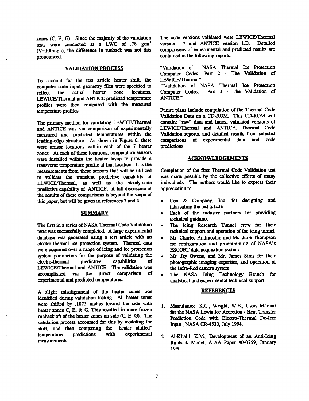zones  $(C, E, G)$ . Since the majority of the validation tests were conducted at a LWC of .78  $g/m<sup>3</sup>$ **(V=100mph),** the **difference** in **runback was not this pronounced.**

#### **VALIDATION PROCESS**

**To account for the** test **article heater shi\_, the** computer code input geometry files were specified to **reflect** the **actual heater** zone **locations. LEWICE/Thermal and ANTICE predicted temperature profiles** were then compared **with the measured** temperature **profiles.**

**The primary method for validating LEWICF\_,/Thermal** and **ANTICE was via** comparison of **experimentally measured** and **predicted** temperatures within the **leading-edge structure. As shown in Figure** 6, **there were sensor locations** within each **of the 7 heater zones. At** each **of these locations,** temperature **sensors were installed** within the **heater layup to provide a tran\_erse** temperature **profile at that location. It is the measurements from these** sensors **that will be utilized** to **vafidate the transient predictive capability of LEWICE/I\_rmal, as well as the steady-state** predictive **capability** of **ANTICE.** A **full discussion of the results** of **these** comparisons **is beyond** the **scope** of **this paper, but will be given** in **references** 3 **and 4.**

# **SUMMARY**

The **first** in **a** series **of NASA** Thermal **Code Validation tests was successfully** completed. **A large** experimental **database was generated using a test article** with an **electro-thermal ice protection system. Thermal data were acquired over a range of icing and ice protection system parameters for** the **purpose of validating** the **electro-thermal predictive capabilities** of **LEWI\_rmal** and **ANTICE. The validation was accomplished via** the **direct** comparison **of experimental and predicted temperatures.**

**A slight misalignment of** the **heater zones was identified during validation testing. All heater zones were shifted by .1875** inches **toward the side** with **heater** zones **C, E, & G. This resulted** in **more frozen nmback aft of** the **heater zones on side (C, E, G). The validation process accounted for this** by **modeling** the **shift,** and then comparing **the "heater shifted" temperature predictions with** experimental **measurements.**

**The code versions validated were LEWICE/Thermal version** 1.7 and **ANTICE** version 1.B. Detailed comparisons of **experimental** and **predicted results are** contained **in** the **following reports:**

**"Validation of NASA Thermal Ice Protection** Computer Codes: **Part 2 - The Validation of LEWICE/Thermal"**

**"Validation of NASA** Thermal **Ice Protection Computer Codes:** Part 3 - The Validation of **ANTICE."**

**Future plans** include compilation **of** the Thermal Code Validation **Dam on a CD=ROM. This** CD-ROM **will** contain: *"raw"* **data** and index, **validated versions of LEWICE/Thermal** and **ANTICE, Thermal** Code **Validation reports, and detailed results from** selected comparisons of **experimented** data and **code predictions.**

# **ACKNOWLEDGEMENTS**

Completion **of the first Thermal** Code **Validation test was made possible by the** collective efforts **of many individuals.** The **authors would like** to **express their appreciation** to:

- **•** Cox **&** Company, **Inc. for designing and fabricating the test article**
- **Each of the industry partners** for **providing technical guidance**
- The **Icing Research Tunnel crew for** their **technical** support **and operation of the icing tunnel**
- **• Mr.** Charles **Andracchio and Ms. June** Thompson **for** configuration and **programming** of **NASA's ESCORT data acquisition system**
- Mr. **Jay Owens, and** Mr. **James Sims for** their **photographic imaging** expertise, **and operation of the Infra-Red camera** system
- **• The NASA Icing Technology Branch for analytic\_1** and **experimental technical** support

# **REFERENCES**

- *,* **Masiulaniec, ICC.,** Wright, **W.B., Users Manual for** the **NASA Lewis Ice Accretion** */* **Heat Transfer Prediction** Code with **Electro-Thermal De-Icer Input,** NASA CR-4530, **July 1994.**
- **. AI-Khalfl, K.M., Development of** an **Anti-Icing Runback Model, AIAA Paper 90-0759, January** 1990.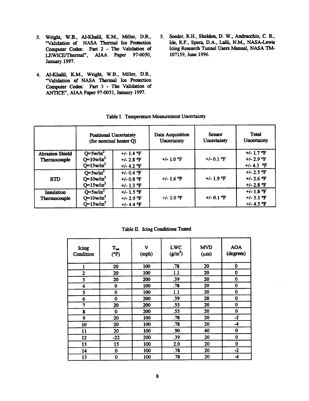- **. Wright, W.B., A1-Khalil, K.M., Miller, D.I\_,** "Validation **of NASA Thermal Ice Protection** Computer Codes: **Part 2 - The Validation** of **LEWICF./rhermal', IAA Paper 97-0050, January 1997.**
- **. A1-Khafil, ICM., Wright, W.B., Miller, D.R., "Validation** of **NASA Thermal Ice Protection Computer Codes: Part** 3 **- The Validation** of **ANTICE", AIAA Paper** 97-0051, January 1997.
- **. Soeder, 1LH., Sheldon, D. W., Andracchio, C. R., Ide, ILF., Sper& D.A., Lalli, N.M., NASA-Lewis** Icing **Research Tunnel Users Manual, NASA TM-107159, June 1996.**

|                                        | <b>Positional Uncertainty</b><br>(for nominal heater Q)             |                                              | Data Acquisition<br>Uncertainty | <b>Sensor</b><br>Uncertainty | <b>Total</b><br>Uncertainty                  |
|----------------------------------------|---------------------------------------------------------------------|----------------------------------------------|---------------------------------|------------------------------|----------------------------------------------|
| <b>Abrasion Shield</b><br>Thermocouple | $Q=5$ w/in <sup>2</sup><br>$Q=10w/in^2$<br>$Q=15$ w/in <sup>2</sup> | $+/-$ 1.4 °F<br>$+/- 2.8$ °F<br>$+/- 4.2$ °F | $+/- 1.0$ °F                    | $+/- 0.1$ °F                 | $+/- 1.7$ °F<br>$+/- 2.9$ °F<br>$+/- 4.3$ °F |
| <b>RTD</b>                             | $Q=5w/in^2$<br>$Q=10$ w/in <sup>2</sup><br>$Q=15$ w/in <sup>2</sup> | $+/- 0.4$ °F<br>$+/-0.8$ °F<br>$+/- 1.3$ °F  | $+/- 1.6$ °F                    | $+/- 1.9$ °F                 | $+/- 2.5$ °F<br>$+/- 2.6$ °F<br>$+/- 2.8$ °F |
| Insulation<br>Thermocouple             | $Q = 5w/in^2$<br>$Q=10w/in^2$<br>$Q=15$ w/in <sup>2</sup>           | $+/- 1.5$ °F<br>$+/- 2.9$ °F<br>$+/- 4.4$ °F | $+/- 1.0$ °F                    | $+/- 0.1$ °F                 | $+/- 1.8$ °F<br>$+/- 3.1$ °F<br>$+/- 4.5$ °F |

**Table I. Temper\_tre Measurement Uncertainty**

**Table H. Icing** Conditions **Tested**

| Icing<br>Condition | $T_{\text{tot}}$<br>(°F) | V<br>(mph) | <b>LWC</b><br>$(g/m^3)$ | <b>MVD</b><br>$(\mu m)$ | <b>AOA</b><br>(degrees) |
|--------------------|--------------------------|------------|-------------------------|-------------------------|-------------------------|
| ı                  | 20                       | 100        | .78                     | 20                      | 0                       |
| $\overline{a}$     | 20                       | 100        | 1.1                     | 20                      | 0                       |
| 3                  | 20                       | 200        | .39                     | 20                      | 0                       |
| 4                  | $\bf{0}$                 | 100        | .78                     | 20                      | $\bf{0}$                |
| 5                  | 0                        | 100        | 1.1                     | 20                      | 0                       |
| 6                  | $\bf{0}$                 | 200        | .39                     | 20                      | $\bf{0}$                |
| 7                  | 20                       | 200        | .55                     | 20                      | $\bf{0}$                |
| 8                  | 0                        | 200        | .55                     | 20                      | $\bf{0}$                |
| 9                  | 20                       | 100        | .78                     | 20                      | $-2$                    |
| 10                 | 20                       | 100        | .78                     | 20                      | -4                      |
| 11                 | 20                       | 100        | .90                     | 40                      | $\bf{0}$                |
| 12                 | $-22$                    | 200        | .39                     | 20                      | 0                       |
| 13                 | 15                       | 100        | 2.0                     | 20                      | $\bf{0}$                |
| 14                 | 0                        | 100        | .78                     | 20                      | -2                      |
| 15                 | 0                        | . 100      | .78                     | 20                      | -4                      |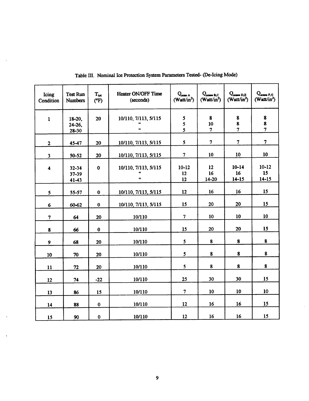| Icing<br>Condition       | <b>Test Run</b><br><b>Numbers</b> | $T_{\text{tot}}$<br>(PF) | <b>Heater ON/OFF Time</b><br>(seconds) | $Q_{\text{max A}}$<br>(Watt/in <sup>2</sup> ) | $Q_{zom}$ B, $C$<br>(Watt/in <sup>2</sup> ) | $Q_{\text{zons D,E}}$<br>(Watt/in <sup>2</sup> ) | $Q_{\text{source F,G}}$<br>(Watt/in <sup>2</sup> ) |
|--------------------------|-----------------------------------|--------------------------|----------------------------------------|-----------------------------------------------|---------------------------------------------|--------------------------------------------------|----------------------------------------------------|
| $\mathbf{1}$             | $18-20$ ,<br>24-26,<br>28-30      | 20                       | 10/110, 7/113, 5/115<br>$\alpha$       | 5<br>5<br>5                                   | 8<br>10<br>$\overline{7}$                   | 8<br>$\bf{8}$<br>7                               | $\pmb{8}$<br>8<br>$\overline{\mathcal{I}}$         |
| $\mathbf{2}$             | 45-47                             | 20                       | 10/110, 7/113, 5/115                   | 5                                             | $\overline{7}$                              | $\overline{\mathcal{L}}$                         | $\overline{\mathcal{L}}$                           |
| $\overline{\mathbf{3}}$  | $50 - 52$                         | 20                       | 10/110, 7/113, 5/115                   | $\overline{7}$                                | 10                                          | 10                                               | 10                                                 |
| $\overline{\mathbf{4}}$  | 32-34<br>37-39<br>41-43           | $\bf{0}$                 | 10/110, 7/113, 5/115<br>$\alpha$       | $10 - 12$<br>12<br>12                         | 12<br>16<br>$14 - 20$                       | $10 - 14$<br>16<br>$14 - 15$                     | $10 - 12$<br>15<br>$14-15$                         |
| $\mathbf{5}$             | 55-57                             | $\bf{0}$                 | 10/110, 7/113, 5/115                   | 12                                            | 16                                          | 16                                               | 15                                                 |
| 6                        | 60-62                             | $\bf{0}$                 | 10/110, 7/113, 5/115                   | 15                                            | 20                                          | 20                                               | 15                                                 |
| $\overline{\mathcal{L}}$ | 64                                | 20                       | 10/110                                 | $\overline{7}$                                | 10                                          | 10                                               | 10                                                 |
| $\bf{8}$                 | 66                                | $\bf{0}$                 | 10/110                                 | 15                                            | 20                                          | 20                                               | 15                                                 |
| 9                        | 68                                | 20                       | 10/110                                 | 5                                             | 8                                           | 8                                                | $\pmb{8}$                                          |
| 10                       | 70                                | 20                       | 10/110                                 | 5 <sub>5</sub>                                | 8                                           | 8                                                | $\bf{8}$                                           |
| 11                       | 72                                | 20                       | 10/110                                 | 5                                             | 8                                           | 8                                                | 8                                                  |
| 12                       | 74                                | $-22$                    | 10/110                                 | 25                                            | 30                                          | 30                                               | 15                                                 |
| 13                       | 86                                | 15                       | 10/110                                 | $\overline{7}$                                | 10                                          | 10                                               | 10                                                 |
| 14                       | 88                                | $\mathbf 0$              | 10/110                                 | 12                                            | 16                                          | 16                                               | 15                                                 |
| 15                       | 90                                | $\bf{0}$                 | 10/110                                 | 12                                            | 16                                          | 16                                               | 15                                                 |

**Table** llI. **Nominal Ice Protection System Parameters Tested- (De-Icing Mode)**

 $\overline{\phantom{a}}$ 

 $\cdot$ 

 $\ddot{\phantom{a}}$ 

 $\frac{1}{2}$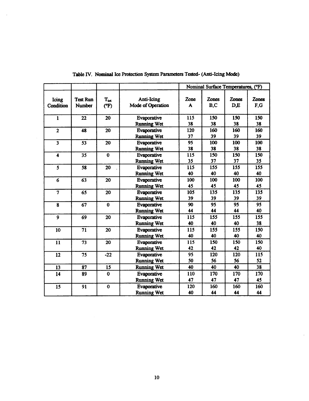|                         |                                  |                   |                                   | Nominal Surface Temperatures, (°F) |              |              |                     |
|-------------------------|----------------------------------|-------------------|-----------------------------------|------------------------------------|--------------|--------------|---------------------|
| Icing<br>Condition      | <b>Test Run</b><br><b>Number</b> | $T_{tot}$<br>(°F) | Anti-Icing<br>Mode of Operation   | Zone<br>$\mathbf{A}$               | Zones<br>B,C | Zones<br>D,E | <b>Zones</b><br>F,G |
| $\mathbf{1}$            | 22                               | 20                | Evaporative                       | 115                                | 150          | 150          | 150                 |
|                         |                                  |                   | <b>Running Wet</b>                | 38                                 | 38           | 38           | 38                  |
| $\overline{2}$          | 48                               | 20                | Evaporative<br><b>Running Wet</b> | 120<br>37                          | 160<br>39    | 160<br>39    | 160<br>39           |
| $\overline{\mathbf{3}}$ | 53                               | 20                | Evaporative                       | 95                                 | 100          | 100          | 100                 |
|                         |                                  |                   | <b>Running Wet</b>                | 38                                 | 38           | 38           | 38                  |
| 4                       | 35                               | $\mathbf 0$       | Evaporative<br><b>Running Wet</b> | 115<br>35                          | 150<br>37    | 150<br>37    | 150<br>35           |
| 5                       | 58                               | 20                | Evaporative                       | 115                                | 155          | 155          | 155                 |
|                         |                                  |                   | <b>Running Wet</b>                | 40                                 | 40           | 40           | 40                  |
| $\overline{6}$          | 63                               | 20                | Evaporative                       | 100                                | 100          | 100          | 100                 |
|                         |                                  |                   | <b>Running Wet</b>                | 45                                 | 45           | 45           | 45                  |
| $\overline{7}$          | 65                               | 20                | Evaporative                       | 105                                | 135          | 135          | 135                 |
|                         |                                  |                   | <b>Running Wet</b>                | 39                                 | 39           | 39           | 39                  |
| 8                       | 67                               | $\bf{0}$          | Evaporative                       | 90                                 | 95           | 95           | $\overline{95}$     |
|                         |                                  |                   | <b>Running Wet</b>                | 44                                 | 44           | 44           | 40                  |
| $\overline{9}$          | 69                               | 20                | Evaporative                       | 115                                | 155          | 155          | 155                 |
|                         |                                  |                   | <b>Running Wet</b>                | 40                                 | 40           | 40           | 38                  |
| 10                      | 71                               | 20                | Evaporative                       | 115                                | 155          | 155          | 150                 |
|                         |                                  |                   | <b>Running Wet</b>                | 40                                 | 40           | 40           | 40                  |
| 11                      | 73                               | 20                | Evaporative                       | 115                                | 150          | 150          | 150                 |
|                         |                                  |                   | <b>Running Wet</b>                | 42                                 | 42           | 42           | 40                  |
| 12                      | 75                               | $-22$             | Evaporative                       | 95                                 | 120          | 120          | 115                 |
|                         |                                  |                   | <b>Running Wet</b>                | 50                                 | 56           | 56           | 52                  |
| 13                      | 87                               | 15                | <b>Running Wet</b>                | 40                                 | 40           | 40           | 38                  |
| 14                      | 89                               | $\bf{0}$          | Evaporative                       | 110                                | 170          | 170          | 170                 |
|                         |                                  |                   | <b>Running Wet</b>                | 47                                 | 47           | 47           | 45                  |
| 15                      | 91                               | $\bf{0}$          | Evaporative                       | 120                                | 160          | 160          | 160                 |
|                         |                                  |                   | <b>Running Wet</b>                | 40                                 | 44           | 44           | 44                  |

**Table IV. Nominal Ice Protection System Parameters Tested- (Anti-Icing Mode)**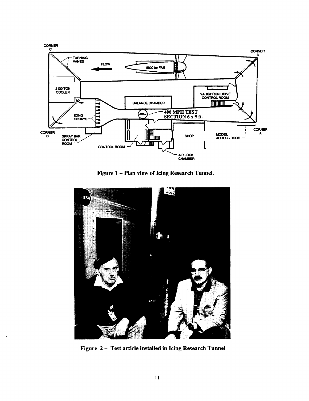

**Figure 1 - Plan view of Icing Research Tunnel.**



**Figure 2** *-* **Test article installed in Icing Research Tunnel**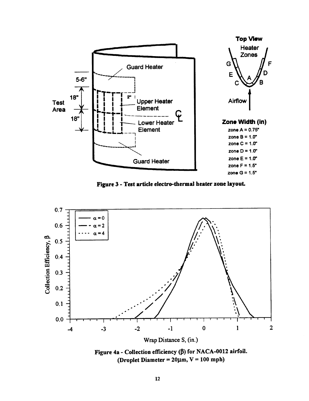

**Figure 3** - **Test artide electro-thermal heater zone layout.**



(Droplet Diameter  $= 20 \mu m$ ,  $V = 100$  mph)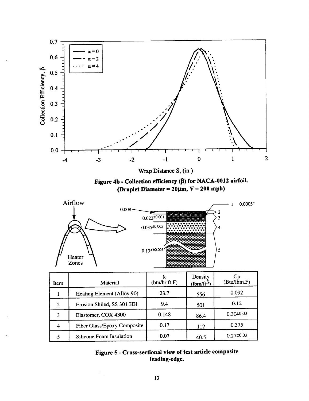

**Figure** 5 **- Cross-sectional view of test article composite leading-edge.**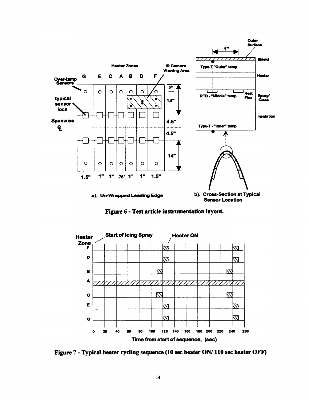

Figure 6 - Test article instrumentation layout.



Figure 7 - Typical heater cycling sequence (10 sec heater ON/110 sec heater OFF)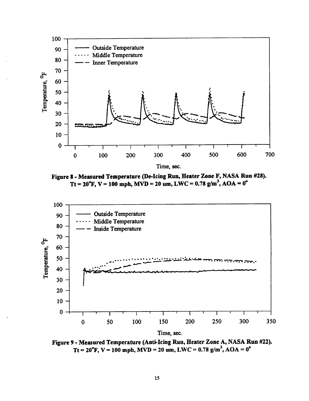

Figure 8 - Measured Temperature (De-Icing Run, Heater Zone F, NASA Run #28). Tt = 20°F, V = 100 mph, MVD = 20 um, LWC = 0.78 g/m<sup>3</sup>, AOA = 0°



Figure 9 - Measured Temperature (Anti-Icing Run, Heater Zone A, NASA Run #22).  $Tt = 20^{\circ}F$ ,  $V = 100$  mph,  $MVD = 20$  um,  $LWC = 0.78$  g/m<sup>3</sup>,  $AOA = 0^{\circ}$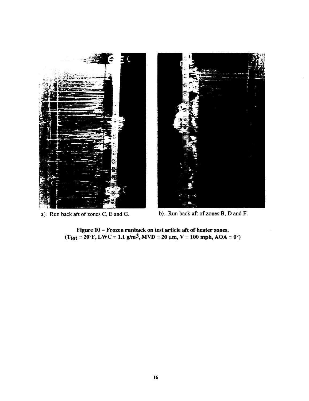

a). Run back aft of zones C, E and G. b). Run back aft of zones B, D and F.

**Figure 10 - Frozen runback on test article aft of heater zones.**  $(T_{tot} = 20^{\circ} \text{F}, \text{LWC} = 1.1 \text{ g/m}^3, \text{MVD} = 20 \text{ }\mu\text{m}, \text{V} = 100 \text{ mph}, \text{AOA} = 0^{\circ}$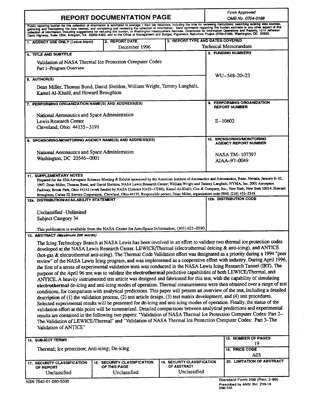| <b>REPORT DOCUMENTATION PAGE</b>                                                                                                                                                                                                                                                                                                                                                                                                                                                                                                                                                                                                                                                                                                    | Form Approved<br>OMB No. 0704-0188                                                                                                          |                                  |                                                                                                                                                                                                                                                 |  |  |  |
|-------------------------------------------------------------------------------------------------------------------------------------------------------------------------------------------------------------------------------------------------------------------------------------------------------------------------------------------------------------------------------------------------------------------------------------------------------------------------------------------------------------------------------------------------------------------------------------------------------------------------------------------------------------------------------------------------------------------------------------|---------------------------------------------------------------------------------------------------------------------------------------------|----------------------------------|-------------------------------------------------------------------------------------------------------------------------------------------------------------------------------------------------------------------------------------------------|--|--|--|
| Public reporting burden for this collection of information is estimated to average 1 hour per response, including the time for reviewing instructions, searching existing data sources,<br>gathering and maintaining the data needed, and completing and reviewing the collection of information. Send comments regarding this burden estimate or any other aspect of this<br>collection of information, including suggestions for reducing this burden, to Washington Headquarters Services, Directorate for Information Operations and Reports, 1215 Jefferson<br>Davis Highway, Suite 1204, Arlington, VA 22202-4302, and to the Office of Management and Budget, Paperwork Reduction Project (0704-0188), Washington, DC 20503. |                                                                                                                                             |                                  |                                                                                                                                                                                                                                                 |  |  |  |
| 1. AGENCY USE ONLY (Leave blank)                                                                                                                                                                                                                                                                                                                                                                                                                                                                                                                                                                                                                                                                                                    | 2. REPORT DATE                                                                                                                              | 3. REPORT TYPE AND DATES COVERED |                                                                                                                                                                                                                                                 |  |  |  |
|                                                                                                                                                                                                                                                                                                                                                                                                                                                                                                                                                                                                                                                                                                                                     | December 1996                                                                                                                               |                                  | <b>Technical Memorandum</b>                                                                                                                                                                                                                     |  |  |  |
| 4. TITLE AND SUBTITLE                                                                                                                                                                                                                                                                                                                                                                                                                                                                                                                                                                                                                                                                                                               |                                                                                                                                             |                                  | 5. FUNDING NUMBERS                                                                                                                                                                                                                              |  |  |  |
| Part 1-Program Overview                                                                                                                                                                                                                                                                                                                                                                                                                                                                                                                                                                                                                                                                                                             | Validation of NASA Thermal Ice Protection Computer Codes                                                                                    |                                  |                                                                                                                                                                                                                                                 |  |  |  |
| 6. AUTHOR(S)                                                                                                                                                                                                                                                                                                                                                                                                                                                                                                                                                                                                                                                                                                                        |                                                                                                                                             |                                  | WU-548-20-23                                                                                                                                                                                                                                    |  |  |  |
| Kamel Al-Khalil, and Howard Broughton                                                                                                                                                                                                                                                                                                                                                                                                                                                                                                                                                                                                                                                                                               | Dean Miller, Thomas Bond, David Sheldon, William Wright, Tammy Langhals,                                                                    |                                  |                                                                                                                                                                                                                                                 |  |  |  |
| 7. PERFORMING ORGANIZATION NAME(S) AND ADDRESS(ES)                                                                                                                                                                                                                                                                                                                                                                                                                                                                                                                                                                                                                                                                                  |                                                                                                                                             |                                  | 8. PERFORMING ORGANIZATION<br><b>REPORT NUMBER</b>                                                                                                                                                                                              |  |  |  |
| National Aeronautics and Space Administration                                                                                                                                                                                                                                                                                                                                                                                                                                                                                                                                                                                                                                                                                       |                                                                                                                                             |                                  |                                                                                                                                                                                                                                                 |  |  |  |
| Lewis Research Center                                                                                                                                                                                                                                                                                                                                                                                                                                                                                                                                                                                                                                                                                                               |                                                                                                                                             |                                  | $E - 10602$                                                                                                                                                                                                                                     |  |  |  |
| Cleveland, Ohio 44135-3191                                                                                                                                                                                                                                                                                                                                                                                                                                                                                                                                                                                                                                                                                                          |                                                                                                                                             |                                  |                                                                                                                                                                                                                                                 |  |  |  |
| 9. SPONSORING/MONITORING AGENCY NAME(S) AND ADDRESS(ES)                                                                                                                                                                                                                                                                                                                                                                                                                                                                                                                                                                                                                                                                             |                                                                                                                                             |                                  | 10. SPONSORING/MONITORING                                                                                                                                                                                                                       |  |  |  |
|                                                                                                                                                                                                                                                                                                                                                                                                                                                                                                                                                                                                                                                                                                                                     |                                                                                                                                             |                                  | <b>AGENCY REPORT NUMBER</b>                                                                                                                                                                                                                     |  |  |  |
| National Aeronautics and Space Administration                                                                                                                                                                                                                                                                                                                                                                                                                                                                                                                                                                                                                                                                                       |                                                                                                                                             |                                  | NASA TM-107397                                                                                                                                                                                                                                  |  |  |  |
| Washington, DC 20546-0001                                                                                                                                                                                                                                                                                                                                                                                                                                                                                                                                                                                                                                                                                                           |                                                                                                                                             |                                  | AIAA-97-0049                                                                                                                                                                                                                                    |  |  |  |
|                                                                                                                                                                                                                                                                                                                                                                                                                                                                                                                                                                                                                                                                                                                                     |                                                                                                                                             |                                  |                                                                                                                                                                                                                                                 |  |  |  |
| <b>11. SUPPLEMENTARY NOTES</b>                                                                                                                                                                                                                                                                                                                                                                                                                                                                                                                                                                                                                                                                                                      |                                                                                                                                             |                                  | Prepared for the 35th Acrospace Sciences Meeting & Exhibit sponsored by the American Institute of Acronautics and Astronautics, Reno, Nevada, January 6-10,                                                                                     |  |  |  |
|                                                                                                                                                                                                                                                                                                                                                                                                                                                                                                                                                                                                                                                                                                                                     | 1997. Dean Miller, Thomas Bond, and David Sheldon, NASA Lewis Research Center; William Wright and Tammy Langhals, NYMA, Inc. 2001 Aerospace |                                  |                                                                                                                                                                                                                                                 |  |  |  |
|                                                                                                                                                                                                                                                                                                                                                                                                                                                                                                                                                                                                                                                                                                                                     | Broughton, Cortez III Service Corporation, Cleveland, Ohio 44135. Responsible person, Dean Miller, organization code 5840, (216) 433-5349.  |                                  | Parkway, Brook Park, Ohio 44142 (work funded by NASA Contract NAS3-17286); Kamel Al-Khalil, Cox & Company, Inc., New York, New York 10014; Howard                                                                                               |  |  |  |
| 12a. DISTRIBUTION/AVAILABILITY STATEMENT                                                                                                                                                                                                                                                                                                                                                                                                                                                                                                                                                                                                                                                                                            |                                                                                                                                             |                                  | <b>12b. DISTRIBUTION CODE</b>                                                                                                                                                                                                                   |  |  |  |
|                                                                                                                                                                                                                                                                                                                                                                                                                                                                                                                                                                                                                                                                                                                                     |                                                                                                                                             |                                  |                                                                                                                                                                                                                                                 |  |  |  |
| Unclassified - Unlimited<br>Subject Category 34                                                                                                                                                                                                                                                                                                                                                                                                                                                                                                                                                                                                                                                                                     |                                                                                                                                             |                                  |                                                                                                                                                                                                                                                 |  |  |  |
|                                                                                                                                                                                                                                                                                                                                                                                                                                                                                                                                                                                                                                                                                                                                     |                                                                                                                                             |                                  |                                                                                                                                                                                                                                                 |  |  |  |
|                                                                                                                                                                                                                                                                                                                                                                                                                                                                                                                                                                                                                                                                                                                                     | This publication is available from the NASA Center for AeroSpace Information, (301) 621-0390.                                               |                                  |                                                                                                                                                                                                                                                 |  |  |  |
| 13. ABSTRACT (Maximum 200 words)                                                                                                                                                                                                                                                                                                                                                                                                                                                                                                                                                                                                                                                                                                    |                                                                                                                                             |                                  |                                                                                                                                                                                                                                                 |  |  |  |
|                                                                                                                                                                                                                                                                                                                                                                                                                                                                                                                                                                                                                                                                                                                                     |                                                                                                                                             |                                  | The Icing Technology Branch at NASA Lewis has been involved in an effort to validate two thermal ice protection codes<br>developed at the NASA Lewis Research Center. LEWICE/Thermal (electrothermal deicing & anti-icing), and ANTICE          |  |  |  |
|                                                                                                                                                                                                                                                                                                                                                                                                                                                                                                                                                                                                                                                                                                                                     |                                                                                                                                             |                                  | (hot-gas & electrothermal anti-icing). The Thermal Code Validation effort was designated as a priority during a 1994 "peer                                                                                                                      |  |  |  |
|                                                                                                                                                                                                                                                                                                                                                                                                                                                                                                                                                                                                                                                                                                                                     |                                                                                                                                             |                                  | review" of the NASA Lewis Icing program, and was implemented as a cooperative effort with industry. During April 1996,                                                                                                                          |  |  |  |
|                                                                                                                                                                                                                                                                                                                                                                                                                                                                                                                                                                                                                                                                                                                                     |                                                                                                                                             |                                  | the first of a series of experimental validation tests was conducted in the NASA Lewis Icing Research Tunnel (IRT). The                                                                                                                         |  |  |  |
|                                                                                                                                                                                                                                                                                                                                                                                                                                                                                                                                                                                                                                                                                                                                     |                                                                                                                                             |                                  | purpose of the April 96 test was to validate the electrothermal predictive capabilities of both LEWICE/Thermal, and<br>ANTICE. A heavily instrumented test article was designed and fabricated for this test, with the capability of simulating |  |  |  |
|                                                                                                                                                                                                                                                                                                                                                                                                                                                                                                                                                                                                                                                                                                                                     |                                                                                                                                             |                                  |                                                                                                                                                                                                                                                 |  |  |  |
| electrothermal de-icing and anti-icing modes of operation. Thermal measurements were then obtained over a range of test<br>conditions, for comparison with analytical predictions. This paper will present an overview of the test, including a detailed                                                                                                                                                                                                                                                                                                                                                                                                                                                                            |                                                                                                                                             |                                  |                                                                                                                                                                                                                                                 |  |  |  |
|                                                                                                                                                                                                                                                                                                                                                                                                                                                                                                                                                                                                                                                                                                                                     | description of (1) the validation process, (2) test article design, (3) test matrix development, and (4) test procedures.                   |                                  |                                                                                                                                                                                                                                                 |  |  |  |
| Selected experimental results will be presented for de-icing and anti-icing modes of operation. Finally, the status of the<br>validation effort at this point will be summarized. Detailed comparisons between analytical predictions and experimental                                                                                                                                                                                                                                                                                                                                                                                                                                                                              |                                                                                                                                             |                                  |                                                                                                                                                                                                                                                 |  |  |  |
| results are contained in the following two papers: "Validation of NASA Thermal Ice Protection Computer Codes: Part 2-                                                                                                                                                                                                                                                                                                                                                                                                                                                                                                                                                                                                               |                                                                                                                                             |                                  |                                                                                                                                                                                                                                                 |  |  |  |
| The Validation of LEWICE/Thermal" and "Validation of NASA Thermal Ice Protection Computer Codes: Part 3-The                                                                                                                                                                                                                                                                                                                                                                                                                                                                                                                                                                                                                         |                                                                                                                                             |                                  |                                                                                                                                                                                                                                                 |  |  |  |
| Validation of ANTICE"                                                                                                                                                                                                                                                                                                                                                                                                                                                                                                                                                                                                                                                                                                               |                                                                                                                                             |                                  |                                                                                                                                                                                                                                                 |  |  |  |
| 14. SUBJECT TERMS                                                                                                                                                                                                                                                                                                                                                                                                                                                                                                                                                                                                                                                                                                                   | <b>15. NUMBER OF PAGES</b>                                                                                                                  |                                  |                                                                                                                                                                                                                                                 |  |  |  |
| Thermal; Ice protection; Anti-icing; De-icing                                                                                                                                                                                                                                                                                                                                                                                                                                                                                                                                                                                                                                                                                       | 19<br>16. PRICE CODE                                                                                                                        |                                  |                                                                                                                                                                                                                                                 |  |  |  |
|                                                                                                                                                                                                                                                                                                                                                                                                                                                                                                                                                                                                                                                                                                                                     | A03                                                                                                                                         |                                  |                                                                                                                                                                                                                                                 |  |  |  |
| 17. SECURITY CLASSIFICATION                                                                                                                                                                                                                                                                                                                                                                                                                                                                                                                                                                                                                                                                                                         | 18. SECURITY CLASSIFICATION                                                                                                                 | 19. SECURITY CLASSIFICATION      | 20. LIMITATION OF ABSTRACT                                                                                                                                                                                                                      |  |  |  |
| OF REPORT<br>Unclassified                                                                                                                                                                                                                                                                                                                                                                                                                                                                                                                                                                                                                                                                                                           | OF THIS PAGE<br>Unclassified                                                                                                                | OF ABSTRACT<br>Unclassified      |                                                                                                                                                                                                                                                 |  |  |  |
|                                                                                                                                                                                                                                                                                                                                                                                                                                                                                                                                                                                                                                                                                                                                     |                                                                                                                                             |                                  | Standard Form 298 (Rev. 2-89)                                                                                                                                                                                                                   |  |  |  |
| NSN 7540-01-280-5500                                                                                                                                                                                                                                                                                                                                                                                                                                                                                                                                                                                                                                                                                                                |                                                                                                                                             |                                  | Prescribed by ANSI Std. Z39-18                                                                                                                                                                                                                  |  |  |  |

 $\mathcal{L}^{\pm}$ 

 $\mathcal{L}_{\mathcal{A}}$